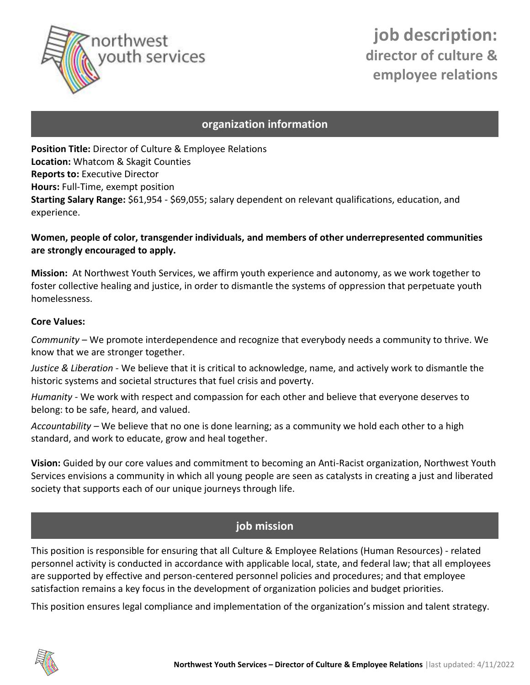

# **job description: director of culture & employee relations**

### **organization information**

**Position Title:** Director of Culture & Employee Relations **Location:** Whatcom & Skagit Counties **Reports to:** Executive Director **Hours:** Full-Time, exempt position **Starting Salary Range:** \$61,954 - \$69,055; salary dependent on relevant qualifications, education, and experience.

### **Women, people of color, transgender individuals, and members of other underrepresented communities are strongly encouraged to apply.**

**Mission:** At Northwest Youth Services, we affirm youth experience and autonomy, as we work together to foster collective healing and justice, in order to dismantle the systems of oppression that perpetuate youth homelessness.

#### **Core Values:**

*Community* – We promote interdependence and recognize that everybody needs a community to thrive. We know that we are stronger together.

*Justice & Liberation -* We believe that it is critical to acknowledge, name, and actively work to dismantle the historic systems and societal structures that fuel crisis and poverty.

*Humanity -* We work with respect and compassion for each other and believe that everyone deserves to belong: to be safe, heard, and valued.

*Accountability –* We believe that no one is done learning; as a community we hold each other to a high standard, and work to educate, grow and heal together.

**Vision:** Guided by our core values and commitment to becoming an Anti-Racist organization, Northwest Youth Services envisions a community in which all young people are seen as catalysts in creating a just and liberated society that supports each of our unique journeys through life.

### **job mission**

This position is responsible for ensuring that all Culture & Employee Relations (Human Resources) - related personnel activity is conducted in accordance with applicable local, state, and federal law; that all employees are supported by effective and person-centered personnel policies and procedures; and that employee satisfaction remains a key focus in the development of organization policies and budget priorities.

This position ensures legal compliance and implementation of the organization's mission and talent strategy.

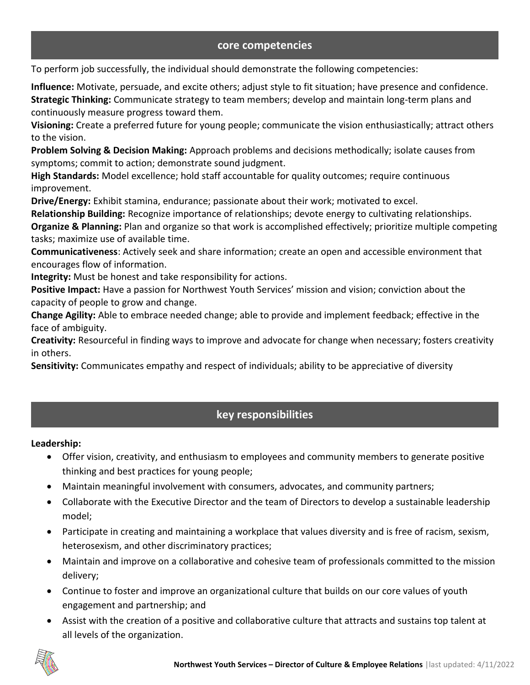### **core competencies**

To perform job successfully, the individual should demonstrate the following competencies:

**Influence:** Motivate, persuade, and excite others; adjust style to fit situation; have presence and confidence. **Strategic Thinking:** Communicate strategy to team members; develop and maintain long-term plans and continuously measure progress toward them.

**Visioning:** Create a preferred future for young people; communicate the vision enthusiastically; attract others to the vision.

**Problem Solving & Decision Making:** Approach problems and decisions methodically; isolate causes from symptoms; commit to action; demonstrate sound judgment.

**High Standards:** Model excellence; hold staff accountable for quality outcomes; require continuous improvement.

**Drive/Energy:** Exhibit stamina, endurance; passionate about their work; motivated to excel.

**Relationship Building:** Recognize importance of relationships; devote energy to cultivating relationships.

**Organize & Planning:** Plan and organize so that work is accomplished effectively; prioritize multiple competing tasks; maximize use of available time.

**Communicativeness**: Actively seek and share information; create an open and accessible environment that encourages flow of information.

**Integrity:** Must be honest and take responsibility for actions.

**Positive Impact:** Have a passion for Northwest Youth Services' mission and vision; conviction about the capacity of people to grow and change.

**Change Agility:** Able to embrace needed change; able to provide and implement feedback; effective in the face of ambiguity.

**Creativity:** Resourceful in finding ways to improve and advocate for change when necessary; fosters creativity in others.

**Sensitivity:** Communicates empathy and respect of individuals; ability to be appreciative of diversity

### **key responsibilities**

**Leadership:**

- Offer vision, creativity, and enthusiasm to employees and community members to generate positive thinking and best practices for young people;
- Maintain meaningful involvement with consumers, advocates, and community partners;
- Collaborate with the Executive Director and the team of Directors to develop a sustainable leadership model;
- Participate in creating and maintaining a workplace that values diversity and is free of racism, sexism, heterosexism, and other discriminatory practices;
- Maintain and improve on a collaborative and cohesive team of professionals committed to the mission delivery;
- Continue to foster and improve an organizational culture that builds on our core values of youth engagement and partnership; and
- Assist with the creation of a positive and collaborative culture that attracts and sustains top talent at all levels of the organization.

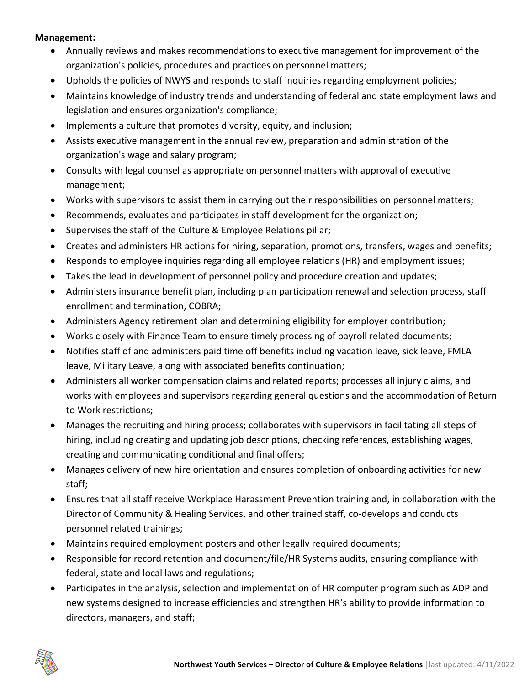#### **Management:**

- Annually reviews and makes recommendations to executive management for improvement of the organization's policies, procedures and practices on personnel matters;
- Upholds the policies of NWYS and responds to staff inquiries regarding employment policies;
- Maintains knowledge of industry trends and understanding of federal and state employment laws and legislation and ensures organization's compliance;
- Implements a culture that promotes diversity, equity, and inclusion;
- Assists executive management in the annual review, preparation and administration of the organization's wage and salary program;
- Consults with legal counsel as appropriate on personnel matters with approval of executive management;
- Works with supervisors to assist them in carrying out their responsibilities on personnel matters;
- Recommends, evaluates and participates in staff development for the organization;
- Supervises the staff of the Culture & Employee Relations pillar;
- Creates and administers HR actions for hiring, separation, promotions, transfers, wages and benefits;
- Responds to employee inquiries regarding all employee relations (HR) and employment issues;
- Takes the lead in development of personnel policy and procedure creation and updates;
- Administers insurance benefit plan, including plan participation renewal and selection process, staff enrollment and termination, COBRA;
- Administers Agency retirement plan and determining eligibility for employer contribution;
- Works closely with Finance Team to ensure timely processing of payroll related documents;
- Notifies staff of and administers paid time off benefits including vacation leave, sick leave, FMLA leave, Military Leave, along with associated benefits continuation;
- Administers all worker compensation claims and related reports; processes all injury claims, and works with employees and supervisors regarding general questions and the accommodation of Return to Work restrictions;
- Manages the recruiting and hiring process; collaborates with supervisors in facilitating all steps of hiring, including creating and updating job descriptions, checking references, establishing wages, creating and communicating conditional and final offers;
- Manages delivery of new hire orientation and ensures completion of onboarding activities for new staff;
- Ensures that all staff receive Workplace Harassment Prevention training and, in collaboration with the Director of Community & Healing Services, and other trained staff, co-develops and conducts personnel related trainings;
- Maintains required employment posters and other legally required documents;
- Responsible for record retention and document/file/HR Systems audits, ensuring compliance with federal, state and local laws and regulations;
- Participates in the analysis, selection and implementation of HR computer program such as ADP and new systems designed to increase efficiencies and strengthen HR's ability to provide information to directors, managers, and staff;

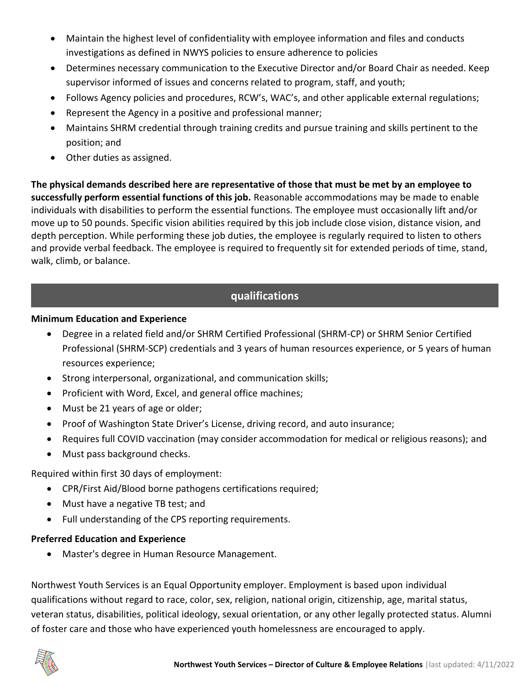- Maintain the highest level of confidentiality with employee information and files and conducts investigations as defined in NWYS policies to ensure adherence to policies
- Determines necessary communication to the Executive Director and/or Board Chair as needed. Keep supervisor informed of issues and concerns related to program, staff, and youth;
- Follows Agency policies and procedures, RCW's, WAC's, and other applicable external regulations;
- Represent the Agency in a positive and professional manner;
- Maintains SHRM credential through training credits and pursue training and skills pertinent to the position; and
- Other duties as assigned.

**The physical demands described here are representative of those that must be met by an employee to successfully perform essential functions of this job.** Reasonable accommodations may be made to enable individuals with disabilities to perform the essential functions. The employee must occasionally lift and/or move up to 50 pounds. Specific vision abilities required by this job include close vision, distance vision, and depth perception. While performing these job duties, the employee is regularly required to listen to others and provide verbal feedback. The employee is required to frequently sit for extended periods of time, stand, walk, climb, or balance.

## **qualifications**

### **Minimum Education and Experience**

- Degree in a related field and/or SHRM Certified Professional (SHRM-CP) or SHRM Senior Certified Professional (SHRM-SCP) credentials and 3 years of human resources experience, or 5 years of human resources experience;
- Strong interpersonal, organizational, and communication skills;
- Proficient with Word, Excel, and general office machines;
- Must be 21 years of age or older;
- Proof of Washington State Driver's License, driving record, and auto insurance;
- Requires full COVID vaccination (may consider accommodation for medical or religious reasons); and
- Must pass background checks.

Required within first 30 days of employment:

- CPR/First Aid/Blood borne pathogens certifications required;
- Must have a negative TB test; and
- Full understanding of the CPS reporting requirements.

### **Preferred Education and Experience**

• Master's degree in Human Resource Management.

Northwest Youth Services is an Equal Opportunity employer. Employment is based upon individual qualifications without regard to race, color, sex, religion, national origin, citizenship, age, marital status, veteran status, disabilities, political ideology, sexual orientation, or any other legally protected status. Alumni of foster care and those who have experienced youth homelessness are encouraged to apply.